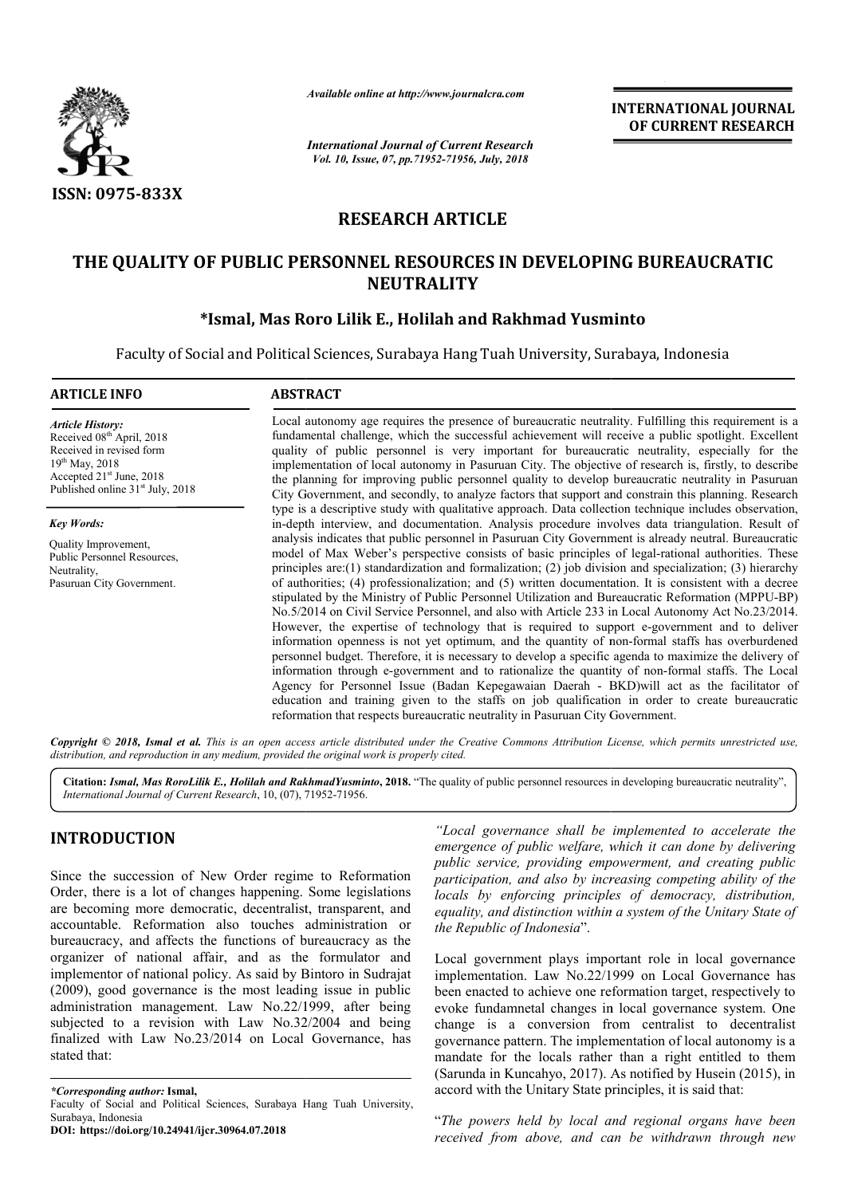

*Available online at http://www.journalcra.com*

*International Journal of Current Research Vol. 10, Issue, 07, pp.71952-71956, July, 2018*

**INTERNATIONAL JOURNAL OF CURRENT RESEARCH**

# **RESEARCH ARTICLE**

# **THE QUALITY OF PUBLIC PERSONNEL RESOURCES IN DEVELOPING BUREAUCRATIC PERSONNEL RESOURCES NEUTRALITY**

## **\*Ismal, Mas Roro Ismal, Lilik E., Holilah and Rakhmad Yusminto**

Faculty of Social and Political Sciences, Surabaya Hang Tuah University, Surabaya, Indonesia

# **ARTICLE INFO ABSTRACT** Local autonomy age requires the presence of bureaucratic neutrality. Fulfilling this requirement is a fundamental challenge, which the successful achievement will receive a public spotlight. Excellent quality of public personnel is very important for bureaucratic neutrality, especially for the implementation of local autonomy in Pasuruan City. The objective of research is, firstly, to describe the planning for improving public personnel quality to develop bureaucratic neutrality in Pasuruan City Government, and secondly, to analyze factors that support and constrain this planning. Research type is a descriptive study with qualitative approach. Data collection technique includes observation, in-depth interview, and documentation. Analysis procedure involves data triangulation. Result of analysis indicates that public personnel in Pasuruan City Government is already neutral. Bureaucratic model of Max Weber's perspective consists of basic principles of legal-rational authorities. These principles are: $(1)$  standardization and formalization;  $(2)$  job division and specialization;  $(3)$  hierarchy of authorities; (4) professionalization; and (5) written documentation. It is consistent with a decree of authorities; (4) professionalization; and (5) written documentation. It is consistent with a decree stipulated by the Ministry of Public Personnel Utilization and Bureaucratic Reformation (MPPU-BP) No.5/2014 on Civil Serv Service Personnel, and also with Article 233 in Local Autonomy Act No.23/2014. No.5/2014 on Civil Service Personnel, and also with Article 233 in Local Autonomy Act No.23/2014.<br>However, the expertise of technology that is required to support e-government and to deliver information openness is not yet optimum, and the quantity of non-formal staffs has overburdened personnel budget. Therefore, it is necessary to develop a specific agenda to maximize the delivery of personnel budget. Therefore, it is necessary to develop a specific agenda to maximize the delivery of information through e-government and to rationalize the quantity of non-formal staffs. The Local Agency for Personnel Issue (Badan Kepegawaian Dae Daerah - BKD)will act as the facilitator of education and training given to the staffs on job qualification in order to create bureaucratic education and training given to the staffs on job qualification in order reformation that respects bureaucratic neutrality in Pasuruan City Government. *Article History:* Received 08<sup>th</sup> April, 2018 Received in revised form 19th May, 2018 Accepted 21<sup>st</sup> June, 2018 Published online  $31<sup>st</sup>$  July, 2018 *Key Words:* Quality Improvement, Public Personnel Resources, Neutrality, Pasuruan City Government. Local autonomy age requires the presence of bureaucratic neutrality. Fulfilling this requirement is a fundamental challenge, which the successful achievement will receive a public spotlight. Excellent quality of public per **INTERNATIONAL JOURNAL**<br> **or CURRENT RESEARCH**<br> **or CURRENT RESEARCH**<br> **or CURRENT RESEARCH**<br> **or CURRENT RESEARCH**<br> **CLE**<br> **CLE**<br> **CLE**<br> **CLE**<br> **CLE**<br> **CLE**<br> **CLE**<br> **CLE**<br> **CLE**<br> **CLE**<br> **CLE**<br> **CLE**<br> **CLE**<br> **CLE**<br> **CLE**<br>

Copyright © 2018, Ismal et al. This is an open access article distributed under the Creative Commons Attribution License, which permits unrestricted use, *distribution, and reproduction in any medium, provided the original work is properly cited.*

Citation: Ismal, Mas RoroLilik E., Holilah and RakhmadYusminto, 2018. "The quality of public personnel resources in developing bureaucratic neutrality", *International Journal of Current Research*, 10, (07), 71952 71952-71956.

# **INTRODUCTION**

Since the succession of New Order regime to Reformation Order, there is a lot of changes happening. Some legislations are becoming more democratic, decentralist, transparent, and accountable. Reformation also touches administration or bureaucracy, and affects the functions of bureaucracy as the organizer of national affair, and as the formulator and implementor of national policy. As said by Bintoro in Sudrajat (2009), good governance is the most leading issue in public (2009), good governance is the most leading issue in public administration management. Law No.22/1999, after being subjected to a revision with Law No.32/2004 and being finalized with Law No.23/2014 on Local Governance, has stated that: cts the functions of bureaucracy as the<br>I affair, and as the formulator and<br>al policy. As said by Bintoro in Sudrajat

*\*Corresponding author:* **Ismal,** 

**DOI: https://doi.org/10.24941/ijcr.30964.07.2018**

*"Local governance shall be implemented to accelerate the emergence of public welfare, which it can done by delivering public service, providing empowerment, and creating public participation, and also by increasing c locals by enforcing principles of democracy, distribution, locals by enforcing principles of democracy, distribution, equality, and distinction within a system of the Unitary State of the Republic of Indonesia*". *Local governance shall be implemented to accelerate the mergence of public welfare, which it can done by delivering ublic service, providing empowerment, and creating public articipation, and also by increasing competing* 

Local government plays important role in local governance implementation. Law No.22/1999 on Local Governance has been enacted to achieve one reformation target, respectively to evoke fundamnetal changes in local governance system. One change is a conversion from centralist to decentralist governance pattern. The implementation of local autonomy is a mandate for the locals rather than a right entitled to them (Sarunda in Kuncahyo, 2017). As notified by Husein (2015), in accord with the Unitary State principles, it is said that: implementation. Law No.22/1999 on Local Governance has<br>been enacted to achieve one reformation target, respectively to<br>evoke fundamnetal changes in local governance system. One<br>change is a conversion from centralist to dec

"*The powers held by local and regional organs have been received from above, and can be withdrawn through new* 

Faculty of Social and Political Sciences, Surabaya Hang Tuah University, Surabaya, Indonesia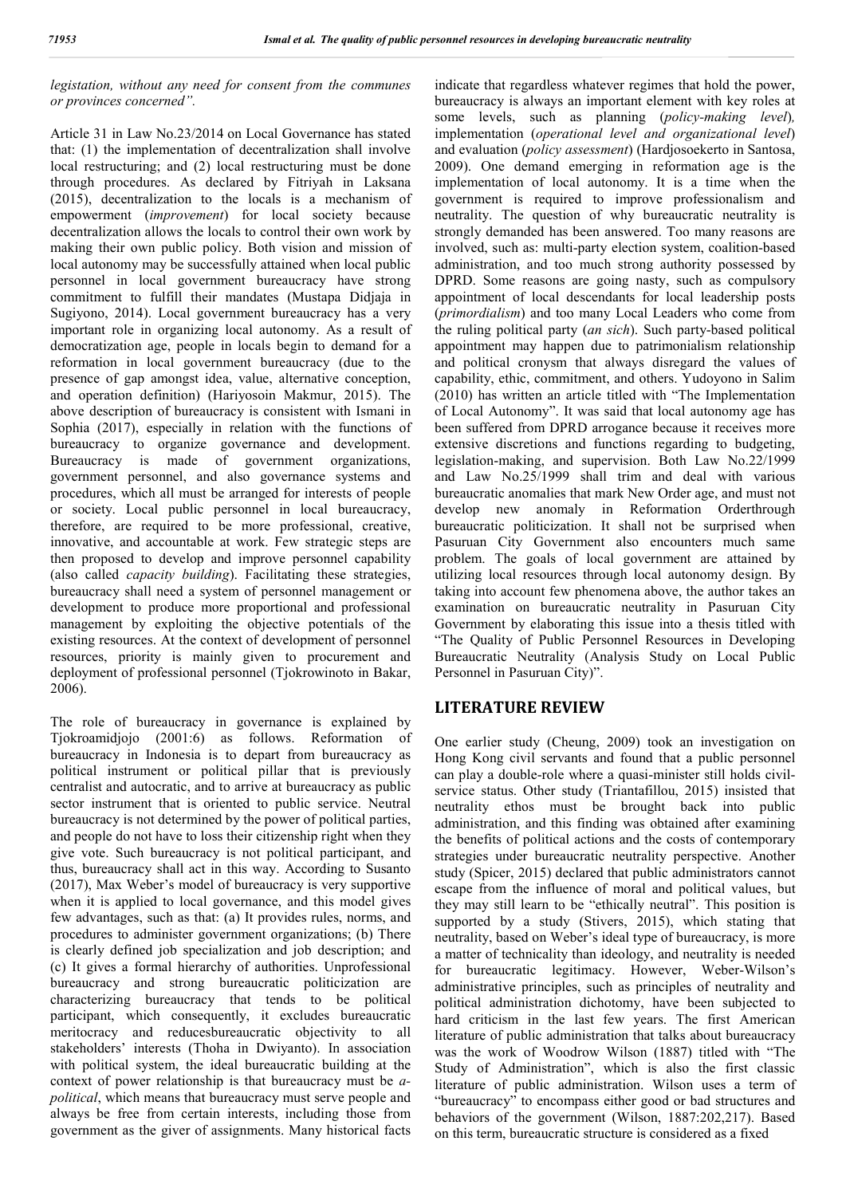### *legistation, without any need for consent from the communes or provinces concerned".*

Article 31 in Law No.23/2014 on Local Governance has stated that: (1) the implementation of decentralization shall involve local restructuring; and (2) local restructuring must be done through procedures. As declared by Fitriyah in Laksana (2015), decentralization to the locals is a mechanism of empowerment (*improvement*) for local society because decentralization allows the locals to control their own work by making their own public policy. Both vision and mission of local autonomy may be successfully attained when local public personnel in local government bureaucracy have strong commitment to fulfill their mandates (Mustapa Didjaja in Sugiyono, 2014). Local government bureaucracy has a very important role in organizing local autonomy. As a result of democratization age, people in locals begin to demand for a reformation in local government bureaucracy (due to the presence of gap amongst idea, value, alternative conception, and operation definition) (Hariyosoin Makmur, 2015). The above description of bureaucracy is consistent with Ismani in Sophia (2017), especially in relation with the functions of bureaucracy to organize governance and development. Bureaucracy is made of government organizations, government personnel, and also governance systems and procedures, which all must be arranged for interests of people or society. Local public personnel in local bureaucracy, therefore, are required to be more professional, creative, innovative, and accountable at work. Few strategic steps are then proposed to develop and improve personnel capability (also called *capacity building*). Facilitating these strategies, bureaucracy shall need a system of personnel management or development to produce more proportional and professional management by exploiting the objective potentials of the existing resources. At the context of development of personnel resources, priority is mainly given to procurement and deployment of professional personnel (Tjokrowinoto in Bakar, 2006).

The role of bureaucracy in governance is explained by Tjokroamidjojo (2001:6) as follows. Reformation of bureaucracy in Indonesia is to depart from bureaucracy as political instrument or political pillar that is previously centralist and autocratic, and to arrive at bureaucracy as public sector instrument that is oriented to public service. Neutral bureaucracy is not determined by the power of political parties, and people do not have to loss their citizenship right when they give vote. Such bureaucracy is not political participant, and thus, bureaucracy shall act in this way. According to Susanto (2017), Max Weber's model of bureaucracy is very supportive when it is applied to local governance, and this model gives few advantages, such as that: (a) It provides rules, norms, and procedures to administer government organizations; (b) There is clearly defined job specialization and job description; and (c) It gives a formal hierarchy of authorities. Unprofessional bureaucracy and strong bureaucratic politicization are characterizing bureaucracy that tends to be political participant, which consequently, it excludes bureaucratic meritocracy and reducesbureaucratic objectivity to all stakeholders' interests (Thoha in Dwiyanto). In association with political system, the ideal bureaucratic building at the context of power relationship is that bureaucracy must be *apolitical*, which means that bureaucracy must serve people and always be free from certain interests, including those from government as the giver of assignments. Many historical facts

indicate that regardless whatever regimes that hold the power, bureaucracy is always an important element with key roles at some levels, such as planning (*policy-making level*)*,*  implementation (*operational level and organizational level*) and evaluation (*policy assessment*) (Hardjosoekerto in Santosa, 2009). One demand emerging in reformation age is the implementation of local autonomy. It is a time when the government is required to improve professionalism and neutrality. The question of why bureaucratic neutrality is strongly demanded has been answered. Too many reasons are involved, such as: multi-party election system, coalition-based administration, and too much strong authority possessed by DPRD. Some reasons are going nasty, such as compulsory appointment of local descendants for local leadership posts (*primordialism*) and too many Local Leaders who come from the ruling political party (*an sich*). Such party-based political appointment may happen due to patrimonialism relationship and political cronysm that always disregard the values of capability, ethic, commitment, and others. Yudoyono in Salim (2010) has written an article titled with "The Implementation of Local Autonomy". It was said that local autonomy age has been suffered from DPRD arrogance because it receives more extensive discretions and functions regarding to budgeting, legislation-making, and supervision. Both Law No.22/1999 and Law No.25/1999 shall trim and deal with various bureaucratic anomalies that mark New Order age, and must not develop new anomaly in Reformation Orderthrough bureaucratic politicization. It shall not be surprised when Pasuruan City Government also encounters much same problem. The goals of local government are attained by utilizing local resources through local autonomy design. By taking into account few phenomena above, the author takes an examination on bureaucratic neutrality in Pasuruan City Government by elaborating this issue into a thesis titled with "The Quality of Public Personnel Resources in Developing Bureaucratic Neutrality (Analysis Study on Local Public Personnel in Pasuruan City)".

## **LITERATURE REVIEW**

One earlier study (Cheung, 2009) took an investigation on Hong Kong civil servants and found that a public personnel can play a double-role where a quasi-minister still holds civilservice status. Other study (Triantafillou, 2015) insisted that neutrality ethos must be brought back into public administration, and this finding was obtained after examining the benefits of political actions and the costs of contemporary strategies under bureaucratic neutrality perspective. Another study (Spicer, 2015) declared that public administrators cannot escape from the influence of moral and political values, but they may still learn to be "ethically neutral". This position is supported by a study (Stivers, 2015), which stating that neutrality, based on Weber's ideal type of bureaucracy, is more a matter of technicality than ideology, and neutrality is needed for bureaucratic legitimacy. However, Weber-Wilson's administrative principles, such as principles of neutrality and political administration dichotomy, have been subjected to hard criticism in the last few years. The first American literature of public administration that talks about bureaucracy was the work of Woodrow Wilson (1887) titled with "The Study of Administration", which is also the first classic literature of public administration. Wilson uses a term of "bureaucracy" to encompass either good or bad structures and behaviors of the government (Wilson, 1887:202,217). Based on this term, bureaucratic structure is considered as a fixed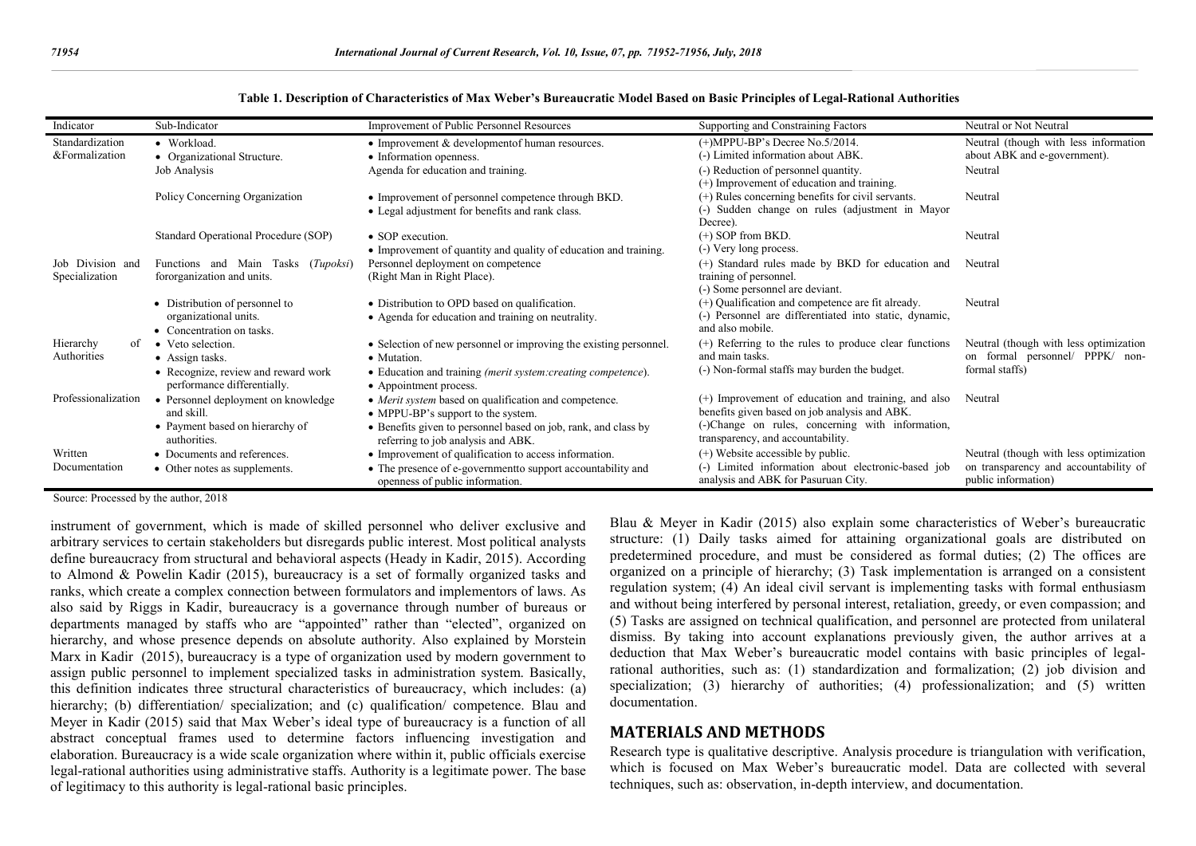| Indicator           | Sub-Indicator                        | Improvement of Public Personnel Resources                         | Supporting and Constraining Factors                    | Neutral or Not Neutral                 |
|---------------------|--------------------------------------|-------------------------------------------------------------------|--------------------------------------------------------|----------------------------------------|
| Standardization     | • Workload.                          | • Improvement & development of human resources.                   | $(+)$ MPPU-BP's Decree No.5/2014.                      | Neutral (though with less information  |
| &Formalization      | • Organizational Structure.          | • Information openness.                                           | (-) Limited information about ABK.                     | about ABK and e-government).           |
|                     | Job Analysis                         | Agenda for education and training.                                | (-) Reduction of personnel quantity.                   | Neutral                                |
|                     |                                      |                                                                   | (+) Improvement of education and training.             |                                        |
|                     | Policy Concerning Organization       | • Improvement of personnel competence through BKD.                | (+) Rules concerning benefits for civil servants.      | Neutral                                |
|                     |                                      | • Legal adjustment for benefits and rank class.                   | (-) Sudden change on rules (adjustment in Mayor        |                                        |
|                     |                                      |                                                                   | Decree).                                               |                                        |
|                     | Standard Operational Procedure (SOP) | • SOP execution.                                                  | $(+)$ SOP from BKD.                                    | Neutral                                |
|                     |                                      | • Improvement of quantity and quality of education and training.  | (-) Very long process.                                 |                                        |
| Job Division and    | Functions and Main Tasks (Tupoksi)   | Personnel deployment on competence                                | (+) Standard rules made by BKD for education and       | Neutral                                |
| Specialization      | fororganization and units.           | (Right Man in Right Place).                                       | training of personnel.                                 |                                        |
|                     |                                      |                                                                   | (-) Some personnel are deviant.                        |                                        |
|                     | • Distribution of personnel to       | • Distribution to OPD based on qualification.                     | (+) Qualification and competence are fit already.      | Neutral                                |
|                     | organizational units.                | • Agenda for education and training on neutrality.                | (-) Personnel are differentiated into static, dynamic, |                                        |
|                     | • Concentration on tasks.            |                                                                   | and also mobile.                                       |                                        |
| Hierarchy<br>of     | • Veto selection.                    | • Selection of new personnel or improving the existing personnel. | (+) Referring to the rules to produce clear functions  | Neutral (though with less optimization |
| Authorities         | • Assign tasks.                      | • Mutation.                                                       | and main tasks.                                        | on formal personnel/ PPPK/ non-        |
|                     | • Recognize, review and reward work  | • Education and training (merit system:creating competence).      | (-) Non-formal staffs may burden the budget.           | formal staffs)                         |
|                     | performance differentially.          | • Appointment process.                                            |                                                        |                                        |
| Professionalization | • Personnel deployment on knowledge  | • Merit system based on qualification and competence.             | (+) Improvement of education and training, and also    | Neutral                                |
|                     | and skill.                           | • MPPU-BP's support to the system.                                | benefits given based on job analysis and ABK.          |                                        |
|                     | • Payment based on hierarchy of      | • Benefits given to personnel based on job, rank, and class by    | (-)Change on rules, concerning with information,       |                                        |
|                     | authorities.                         | referring to job analysis and ABK.                                | transparency, and accountability.                      |                                        |
| Written             | • Documents and references.          | • Improvement of qualification to access information.             | (+) Website accessible by public.                      | Neutral (though with less optimization |
| Documentation       | • Other notes as supplements.        | • The presence of e-governmentto support accountability and       | (-) Limited information about electronic-based job     | on transparency and accountability of  |
|                     |                                      | openness of public information.                                   | analysis and ABK for Pasuruan City.                    | public information)                    |

**Table 1. Description of Characteristics of Max Weber's Bureaucratic Model Based on Basic Principles of Legal-Rational Authorities**

Source: Processed by the author, 2018

instrument of government, which is made of skilled personnel who deliver exclusive and arbitrary services to certain stakeholders but disregards public interest. Most political analysts define bureaucracy from structural and behavioral aspects (Heady in Kadir, 2015). According to Almond & Powelin Kadir (2015), bureaucracy is a set of formally organized tasks and ranks, which create a complex connection between formulators and implementors of laws. As also said by Riggs in Kadir, bureaucracy is a governance through number of bureaus or departments managed by staffs who are "appointed" rather than "elected", organized on hierarchy, and whose presence depends on absolute authority. Also explained by Morstein Marx in Kadir (2015), bureaucracy is a type of organization used by modern government to assign public personnel to implement specialized tasks in administration system. Basically, this definition indicates three structural characteristics of bureaucracy, which includes: (a) hierarchy; (b) differentiation/ specialization; and (c) qualification/ competence. Blau and Meyer in Kadir (2015) said that Max Weber's ideal type of bureaucracy is a function of all abstract conceptual frames used to determine factors influencing investigation and elaboration. Bureaucracy is a wide scale organization where within it, public officials exercise legal-rational authorities using administrative staffs. Authority is a legitimate power. The base of legitimacy to this authority is legal-rational basic principles.

Blau & Meyer in Kadir (2015) also explain some characteristics of Weber's bureaucratic structure: (1) Daily tasks aimed for attaining organizational goals are distributed on predetermined procedure, and must be considered as formal duties; (2) The offices are organized on a principle of hierarchy; (3) Task implementation is arranged on a consistent regulation system;  $(4)$  An ideal civil servant is implementing tasks with formal enthusiasm and without being interfered by personal interest, retaliation, greedy, or even compassion; and (5) Tasks are assigned on technical qualification, and personnel are protected from unilateral dismiss. By taking into account explanations previously given, the author arrives at a deduction that Max Weber's bureaucratic model contains with basic principles of legalrational authorities, such as: (1) standardization and formalization; (2) job division and specialization; (3) hierarchy of authorities; (4) professionalization; and (5) written documentation.

#### **MATERIALS AND METHODS**

Research type is qualitative descriptive. Analysis procedure is triangulation with verification, which is focused on Max Weber's bureaucratic model. Data are collected with several techniques, such as: observation, in-depth interview, and documentation.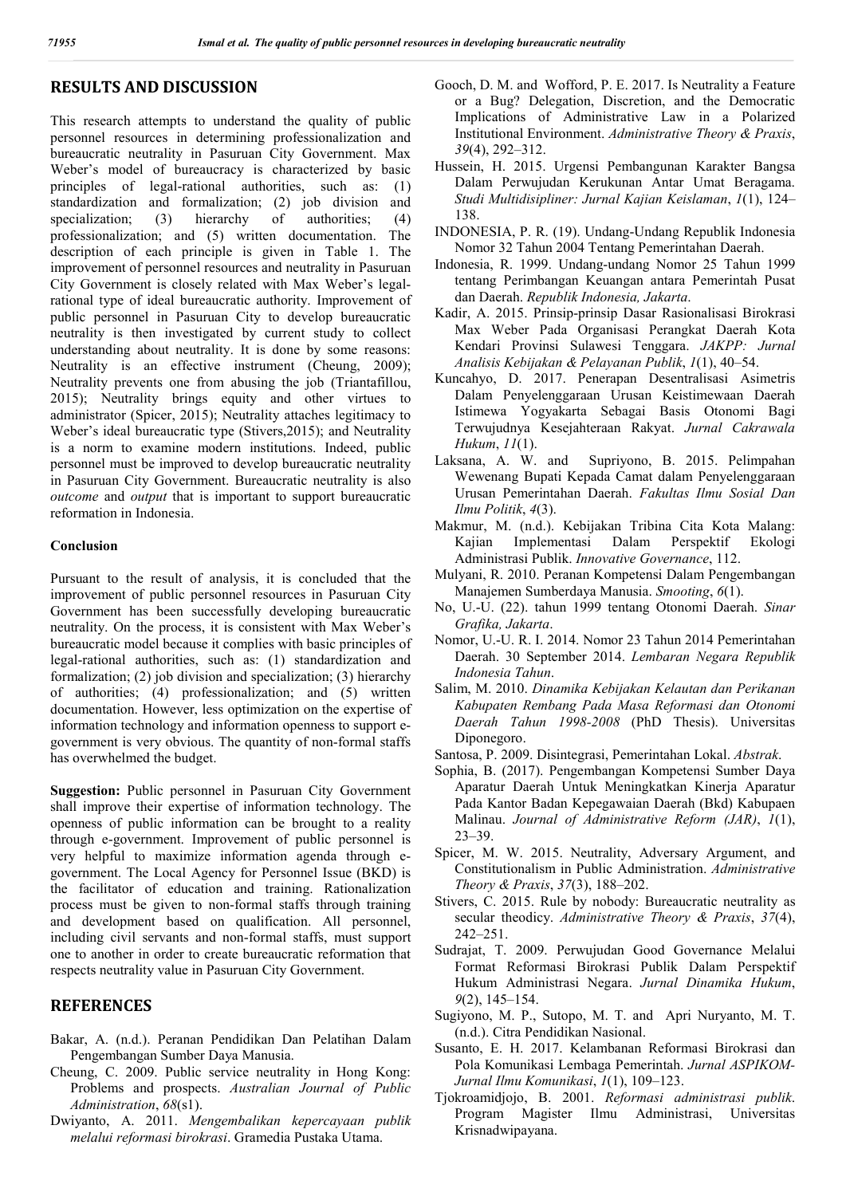## **RESULTS AND DISCUSSION**

This research attempts to understand the quality of public personnel resources in determining professionalization and bureaucratic neutrality in Pasuruan City Government. Max Weber's model of bureaucracy is characterized by basic principles of legal-rational authorities, such as: (1) standardization and formalization; (2) job division and specialization; (3) hierarchy of authorities; (4) professionalization; and (5) written documentation. The description of each principle is given in Table 1. The improvement of personnel resources and neutrality in Pasuruan City Government is closely related with Max Weber's legalrational type of ideal bureaucratic authority. Improvement of public personnel in Pasuruan City to develop bureaucratic neutrality is then investigated by current study to collect understanding about neutrality. It is done by some reasons: Neutrality is an effective instrument (Cheung, 2009); Neutrality prevents one from abusing the job (Triantafillou, 2015); Neutrality brings equity and other virtues to administrator (Spicer, 2015); Neutrality attaches legitimacy to Weber's ideal bureaucratic type (Stivers,2015); and Neutrality is a norm to examine modern institutions. Indeed, public personnel must be improved to develop bureaucratic neutrality in Pasuruan City Government. Bureaucratic neutrality is also *outcome* and *output* that is important to support bureaucratic reformation in Indonesia.

#### **Conclusion**

Pursuant to the result of analysis, it is concluded that the improvement of public personnel resources in Pasuruan City Government has been successfully developing bureaucratic neutrality. On the process, it is consistent with Max Weber's bureaucratic model because it complies with basic principles of legal-rational authorities, such as: (1) standardization and formalization; (2) job division and specialization; (3) hierarchy of authorities; (4) professionalization; and (5) written documentation. However, less optimization on the expertise of information technology and information openness to support egovernment is very obvious. The quantity of non-formal staffs has overwhelmed the budget.

**Suggestion:** Public personnel in Pasuruan City Government shall improve their expertise of information technology. The openness of public information can be brought to a reality through e-government. Improvement of public personnel is very helpful to maximize information agenda through egovernment. The Local Agency for Personnel Issue (BKD) is the facilitator of education and training. Rationalization process must be given to non-formal staffs through training and development based on qualification. All personnel, including civil servants and non-formal staffs, must support one to another in order to create bureaucratic reformation that respects neutrality value in Pasuruan City Government.

## **REFERENCES**

- Bakar, A. (n.d.). Peranan Pendidikan Dan Pelatihan Dalam Pengembangan Sumber Daya Manusia.
- Cheung, C. 2009. Public service neutrality in Hong Kong: Problems and prospects. *Australian Journal of Public Administration*, *68*(s1).
- Dwiyanto, A. 2011. *Mengembalikan kepercayaan publik melalui reformasi birokrasi*. Gramedia Pustaka Utama.
- Gooch, D. M. and Wofford, P. E. 2017. Is Neutrality a Feature or a Bug? Delegation, Discretion, and the Democratic Implications of Administrative Law in a Polarized Institutional Environment. *Administrative Theory & Praxis*, *39*(4), 292–312.
- Hussein, H. 2015. Urgensi Pembangunan Karakter Bangsa Dalam Perwujudan Kerukunan Antar Umat Beragama. *Studi Multidisipliner: Jurnal Kajian Keislaman*, *1*(1), 124– 138.
- INDONESIA, P. R. (19). Undang-Undang Republik Indonesia Nomor 32 Tahun 2004 Tentang Pemerintahan Daerah.
- Indonesia, R. 1999. Undang-undang Nomor 25 Tahun 1999 tentang Perimbangan Keuangan antara Pemerintah Pusat dan Daerah. *Republik Indonesia, Jakarta*.
- Kadir, A. 2015. Prinsip-prinsip Dasar Rasionalisasi Birokrasi Max Weber Pada Organisasi Perangkat Daerah Kota Kendari Provinsi Sulawesi Tenggara. *JAKPP: Jurnal Analisis Kebijakan & Pelayanan Publik*, *1*(1), 40–54.
- Kuncahyo, D. 2017. Penerapan Desentralisasi Asimetris Dalam Penyelenggaraan Urusan Keistimewaan Daerah Istimewa Yogyakarta Sebagai Basis Otonomi Bagi Terwujudnya Kesejahteraan Rakyat. *Jurnal Cakrawala Hukum*, *11*(1).<br>Laksana, A. W. and
- Supriyono, B. 2015. Pelimpahan Wewenang Bupati Kepada Camat dalam Penyelenggaraan Urusan Pemerintahan Daerah. *Fakultas Ilmu Sosial Dan Ilmu Politik*, *4*(3).
- Makmur, M. (n.d.). Kebijakan Tribina Cita Kota Malang: Kajian Implementasi Dalam Perspektif Ekologi Administrasi Publik. *Innovative Governance*, 112.
- Mulyani, R. 2010. Peranan Kompetensi Dalam Pengembangan Manajemen Sumberdaya Manusia. *Smooting*, *6*(1).
- No, U.-U. (22). tahun 1999 tentang Otonomi Daerah. *Sinar Grafika, Jakarta*.
- Nomor, U.-U. R. I. 2014. Nomor 23 Tahun 2014 Pemerintahan Daerah. 30 September 2014. *Lembaran Negara Republik Indonesia Tahun*.
- Salim, M. 2010. *Dinamika Kebijakan Kelautan dan Perikanan Kabupaten Rembang Pada Masa Reformasi dan Otonomi Daerah Tahun 1998-2008* (PhD Thesis). Universitas Diponegoro.
- Santosa, P. 2009. Disintegrasi, Pemerintahan Lokal. *Abstrak*.
- Sophia, B. (2017). Pengembangan Kompetensi Sumber Daya Aparatur Daerah Untuk Meningkatkan Kinerja Aparatur Pada Kantor Badan Kepegawaian Daerah (Bkd) Kabupaen Malinau. *Journal of Administrative Reform (JAR)*, *1*(1), 23–39.
- Spicer, M. W. 2015. Neutrality, Adversary Argument, and Constitutionalism in Public Administration. *Administrative Theory & Praxis*, *37*(3), 188–202.
- Stivers, C. 2015. Rule by nobody: Bureaucratic neutrality as secular theodicy. *Administrative Theory & Praxis*, *37*(4), 242–251.
- Sudrajat, T. 2009. Perwujudan Good Governance Melalui Format Reformasi Birokrasi Publik Dalam Perspektif Hukum Administrasi Negara. *Jurnal Dinamika Hukum*, *9*(2), 145–154.
- Sugiyono, M. P., Sutopo, M. T. and Apri Nuryanto, M. T. (n.d.). Citra Pendidikan Nasional.
- Susanto, E. H. 2017. Kelambanan Reformasi Birokrasi dan Pola Komunikasi Lembaga Pemerintah. *Jurnal ASPIKOM-Jurnal Ilmu Komunikasi*, *1*(1), 109–123.
- Tjokroamidjojo, B. 2001. *Reformasi administrasi publik*. Program Magister Ilmu Administrasi, Universitas Krisnadwipayana.